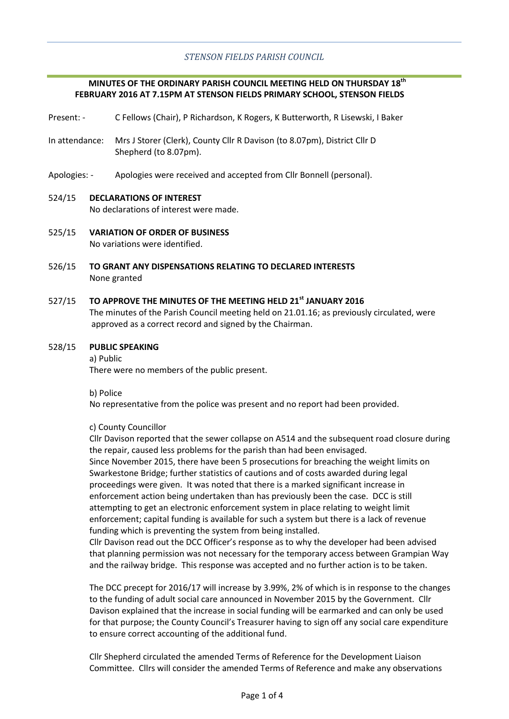# **MINUTES OF THE ORDINARY PARISH COUNCIL MEETING HELD ON THURSDAY 18th FEBRUARY 2016 AT 7.15PM AT STENSON FIELDS PRIMARY SCHOOL, STENSON FIELDS**

- Present: C Fellows (Chair), P Richardson, K Rogers, K Butterworth, R Lisewski, I Baker
- In attendance: Mrs J Storer (Clerk), County Cllr R Davison (to 8.07pm), District Cllr D Shepherd (to 8.07pm).
- Apologies: Apologies were received and accepted from Cllr Bonnell (personal).

## 524/15 **DECLARATIONS OF INTEREST**

No declarations of interest were made.

- 525/15 **VARIATION OF ORDER OF BUSINESS** No variations were identified.
- 526/15 **TO GRANT ANY DISPENSATIONS RELATING TO DECLARED INTERESTS** None granted

### 527/15 **TO APPROVE THE MINUTES OF THE MEETING HELD 21st JANUARY 2016**

The minutes of the Parish Council meeting held on 21.01.16; as previously circulated, were approved as a correct record and signed by the Chairman.

#### 528/15 **PUBLIC SPEAKING**

a) Public There were no members of the public present.

b) Police

No representative from the police was present and no report had been provided.

### c) County Councillor

Cllr Davison reported that the sewer collapse on A514 and the subsequent road closure during the repair, caused less problems for the parish than had been envisaged. Since November 2015, there have been 5 prosecutions for breaching the weight limits on Swarkestone Bridge; further statistics of cautions and of costs awarded during legal proceedings were given. It was noted that there is a marked significant increase in enforcement action being undertaken than has previously been the case. DCC is still attempting to get an electronic enforcement system in place relating to weight limit enforcement; capital funding is available for such a system but there is a lack of revenue funding which is preventing the system from being installed.

Cllr Davison read out the DCC Officer's response as to why the developer had been advised that planning permission was not necessary for the temporary access between Grampian Way and the railway bridge. This response was accepted and no further action is to be taken.

The DCC precept for 2016/17 will increase by 3.99%, 2% of which is in response to the changes to the funding of adult social care announced in November 2015 by the Government. Cllr Davison explained that the increase in social funding will be earmarked and can only be used for that purpose; the County Council's Treasurer having to sign off any social care expenditure to ensure correct accounting of the additional fund.

Cllr Shepherd circulated the amended Terms of Reference for the Development Liaison Committee. Cllrs will consider the amended Terms of Reference and make any observations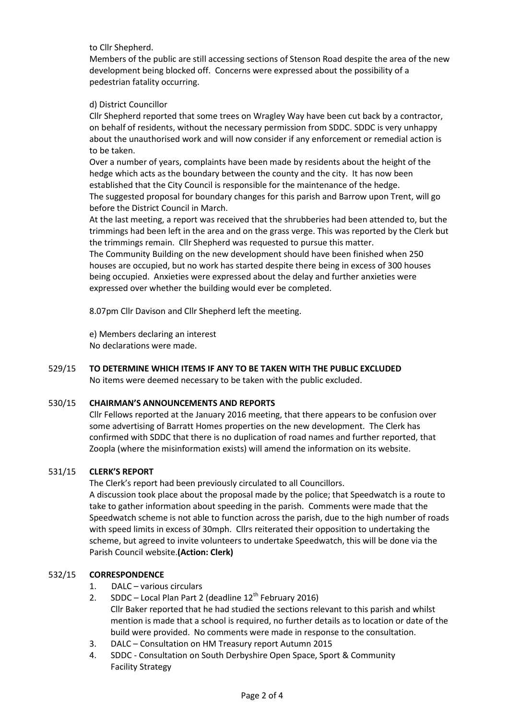to Cllr Shepherd.

Members of the public are still accessing sections of Stenson Road despite the area of the new development being blocked off. Concerns were expressed about the possibility of a pedestrian fatality occurring.

# d) District Councillor

Cllr Shepherd reported that some trees on Wragley Way have been cut back by a contractor, on behalf of residents, without the necessary permission from SDDC. SDDC is very unhappy about the unauthorised work and will now consider if any enforcement or remedial action is to be taken.

Over a number of years, complaints have been made by residents about the height of the hedge which acts as the boundary between the county and the city. It has now been established that the City Council is responsible for the maintenance of the hedge. The suggested proposal for boundary changes for this parish and Barrow upon Trent, will go before the District Council in March.

At the last meeting, a report was received that the shrubberies had been attended to, but the trimmings had been left in the area and on the grass verge. This was reported by the Clerk but the trimmings remain. Cllr Shepherd was requested to pursue this matter.

The Community Building on the new development should have been finished when 250 houses are occupied, but no work has started despite there being in excess of 300 houses being occupied. Anxieties were expressed about the delay and further anxieties were expressed over whether the building would ever be completed.

8.07pm Cllr Davison and Cllr Shepherd left the meeting.

e) Members declaring an interest No declarations were made.

### 529/15 **TO DETERMINE WHICH ITEMS IF ANY TO BE TAKEN WITH THE PUBLIC EXCLUDED** No items were deemed necessary to be taken with the public excluded.

### 530/15 **CHAIRMAN'S ANNOUNCEMENTS AND REPORTS**

Cllr Fellows reported at the January 2016 meeting, that there appears to be confusion over some advertising of Barratt Homes properties on the new development. The Clerk has confirmed with SDDC that there is no duplication of road names and further reported, that Zoopla (where the misinformation exists) will amend the information on its website.

### 531/15 **CLERK'S REPORT**

The Clerk's report had been previously circulated to all Councillors.

A discussion took place about the proposal made by the police; that Speedwatch is a route to take to gather information about speeding in the parish. Comments were made that the Speedwatch scheme is not able to function across the parish, due to the high number of roads with speed limits in excess of 30mph. Cllrs reiterated their opposition to undertaking the scheme, but agreed to invite volunteers to undertake Speedwatch, this will be done via the Parish Council website.**(Action: Clerk)**

### 532/15 **CORRESPONDENCE**

- 1. DALC various circulars
- 2. SDDC Local Plan Part 2 (deadline  $12<sup>th</sup>$  February 2016)
- Cllr Baker reported that he had studied the sections relevant to this parish and whilst mention is made that a school is required, no further details as to location or date of the build were provided. No comments were made in response to the consultation.
- 3. DALC Consultation on HM Treasury report Autumn 2015
- 4. SDDC Consultation on South Derbyshire Open Space, Sport & Community Facility Strategy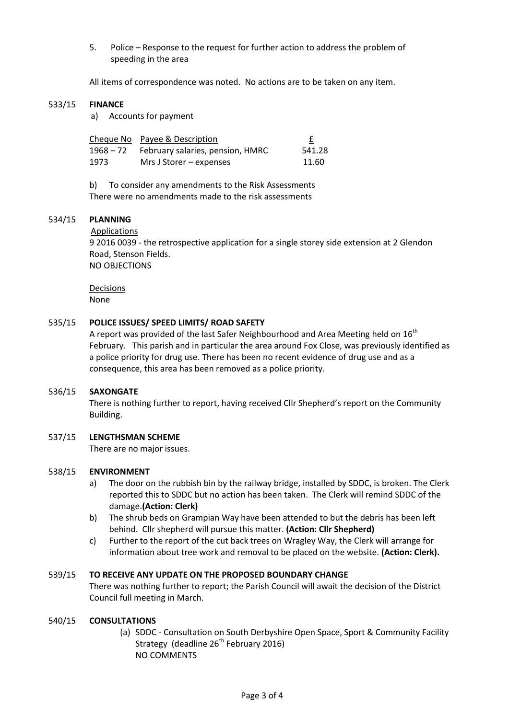5. Police – Response to the request for further action to address the problem of speeding in the area

All items of correspondence was noted. No actions are to be taken on any item.

### 533/15 **FINANCE**

a) Accounts for payment

|      | Cheque No Payee & Description              | £      |
|------|--------------------------------------------|--------|
|      | 1968 – 72 February salaries, pension, HMRC | 541.28 |
| 1973 | Mrs J Storer – expenses                    | 11.60  |

b) To consider any amendments to the Risk Assessments There were no amendments made to the risk assessments

### 534/15 **PLANNING**

### Applications

9 2016 0039 - the retrospective application for a single storey side extension at 2 Glendon Road, Stenson Fields. NO OBJECTIONS

Decisions None

### 535/15 **POLICE ISSUES/ SPEED LIMITS/ ROAD SAFETY**

A report was provided of the last Safer Neighbourhood and Area Meeting held on 16<sup>th</sup> February. This parish and in particular the area around Fox Close, was previously identified as a police priority for drug use. There has been no recent evidence of drug use and as a consequence, this area has been removed as a police priority.

### 536/15 **SAXONGATE**

There is nothing further to report, having received Cllr Shepherd's report on the Community Building.

### 537/15 **LENGTHSMAN SCHEME**

There are no major issues.

### 538/15 **ENVIRONMENT**

- a) The door on the rubbish bin by the railway bridge, installed by SDDC, is broken. The Clerk reported this to SDDC but no action has been taken. The Clerk will remind SDDC of the damage.**(Action: Clerk)**
- b) The shrub beds on Grampian Way have been attended to but the debris has been left behind. Cllr shepherd will pursue this matter. **(Action: Cllr Shepherd)**
- c) Further to the report of the cut back trees on Wragley Way, the Clerk will arrange for information about tree work and removal to be placed on the website. **(Action: Clerk).**

#### 539/15 **TO RECEIVE ANY UPDATE ON THE PROPOSED BOUNDARY CHANGE**

There was nothing further to report; the Parish Council will await the decision of the District Council full meeting in March.

### 540/15 **CONSULTATIONS**

(a) SDDC - Consultation on South Derbyshire Open Space, Sport & Community Facility Strategy (deadline  $26<sup>th</sup>$  February 2016) NO COMMENTS